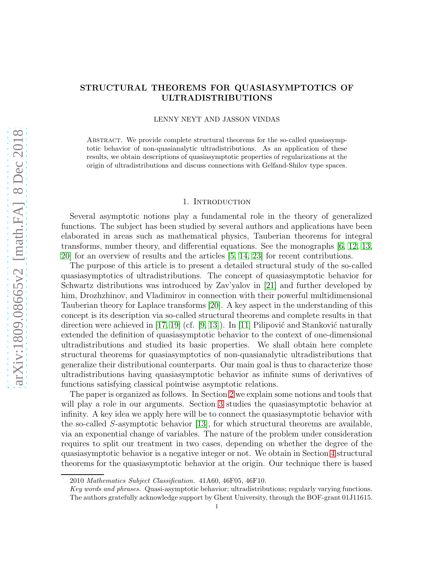# STRUCTURAL THEOREMS FOR QUASIASYMPTOTICS OF ULTRADISTRIBUTIONS

### LENNY NEYT AND JASSON VINDAS

Abstract. We provide complete structural theorems for the so-called quasiasymptotic behavior of non-quasianalytic ultradistributions. As an application of these results, we obtain descriptions of quasiasymptotic properties of regularizations at the origin of ultradistributions and discuss connections with Gelfand-Shilov type spaces.

## 1. Introduction

Several asymptotic notions play a fundamental role in the theory of generalized functions. The subject has been studied by several authors and applications have been elaborated in areas such as mathematical physics, Tauberian theorems for integral transforms, number theory, and differential equations. See the monographs [\[6,](#page-15-0) [12,](#page-16-0) [13,](#page-16-1) [20\]](#page-16-2) for an overview of results and the articles [\[5,](#page-15-1) [14,](#page-16-3) [23\]](#page-16-4) for recent contributions.

The purpose of this article is to present a detailed structural study of the so-called quasiasymptotics of ultradistributions. The concept of quasiasymptotic behavior for Schwartz distributions was introduced by Zav'yalov in [\[21\]](#page-16-5) and further developed by him, Drozhzhinov, and Vladimirov in connection with their powerful multidimensional Tauberian theory for Laplace transforms [\[20\]](#page-16-2). A key aspect in the understanding of this concept is its description via so-called structural theorems and complete results in that direction were achieved in [\[17,](#page-16-6) [19\]](#page-16-7) (cf. [\[9,](#page-16-8) [13\]](#page-16-1)). In [11] Pilipović and Stanković naturally extended the definition of quasiasymptotic behavior to the context of one-dimensional ultradistributions and studied its basic properties. We shall obtain here complete structural theorems for quasiasymptotics of non-quasianalytic ultradistributions that generalize their distributional counterparts. Our main goal is thus to characterize those ultradistributions having quasiasymptotic behavior as infinite sums of derivatives of functions satisfying classical pointwise asymptotic relations.

The paper is organized as follows. In Section [2](#page-1-0) we explain some notions and tools that will play a role in our arguments. Section [3](#page-2-0) studies the quasiasymptotic behavior at infinity. A key idea we apply here will be to connect the quasiasymptotic behavior with the so-called S-asymptotic behavior [\[13\]](#page-16-1), for which structural theorems are available, via an exponential change of variables. The nature of the problem under consideration requires to split our treatment in two cases, depending on whether the degree of the quasiasymptotic behavior is a negative integer or not. We obtain in Section [4](#page-9-0) structural theorems for the quasiasymptotic behavior at the origin. Our technique there is based

<sup>2010</sup> Mathematics Subject Classification. 41A60, 46F05, 46F10.

Key words and phrases. Quasi-asymptotic behavior; ultradistributions; regularly varying functions. The authors gratefully acknowledge support by Ghent University, through the BOF-grant 01J11615.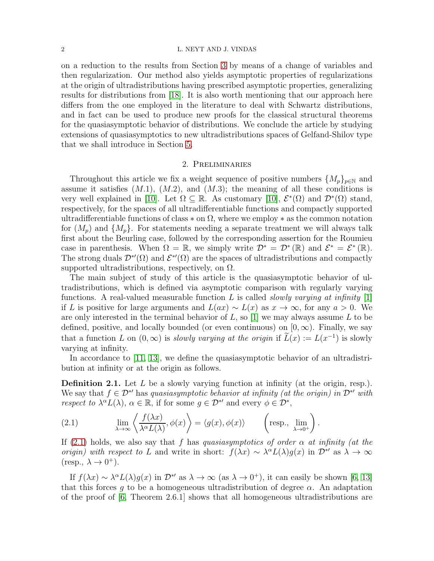### 2 L. NEYT AND J. VINDAS

on a reduction to the results from Section [3](#page-2-0) by means of a change of variables and then regularization. Our method also yields asymptotic properties of regularizations at the origin of ultradistributions having prescribed asymptotic properties, generalizing results for distributions from [\[18\]](#page-16-9). It is also worth mentioning that our approach here differs from the one employed in the literature to deal with Schwartz distributions, and in fact can be used to produce new proofs for the classical structural theorems for the quasiasymptotic behavior of distributions. We conclude the article by studying extensions of quasiasymptotics to new ultradistributions spaces of Gelfand-Shilov type that we shall introduce in Section [5.](#page-13-0)

## 2. Preliminaries

<span id="page-1-0"></span>Throughout this article we fix a weight sequence of positive numbers  $\{M_p\}_{p\in\mathbb{N}}$  and assume it satisfies  $(M.1)$ ,  $(M.2)$ , and  $(M.3)$ ; the meaning of all these conditions is very well explained in [\[10\]](#page-16-10). Let  $\Omega \subseteq \mathbb{R}$ . As customary [10],  $\mathcal{E}^*(\Omega)$  and  $\mathcal{D}^*(\Omega)$  stand, respectively, for the spaces of all ultradifferentiable functions and compactly supported ultradifferentiable functions of class  $*$  on  $\Omega$ , where we employ  $*$  as the common notation for  $(M_p)$  and  $\{M_p\}$ . For statements needing a separate treatment we will always talk first about the Beurling case, followed by the corresponding assertion for the Roumieu case in parenthesis. When  $\Omega = \mathbb{R}$ , we simply write  $\mathcal{D}^* = \mathcal{D}^*(\mathbb{R})$  and  $\mathcal{E}^* = \mathcal{E}^*(\mathbb{R})$ . The strong duals  $\mathcal{D}^{*\prime}(\Omega)$  and  $\mathcal{E}^{*\prime}(\Omega)$  are the spaces of ultradistributions and compactly supported ultradistributions, respectively, on  $\Omega$ .

The main subject of study of this article is the quasiasymptotic behavior of ultradistributions, which is defined via asymptotic comparison with regularly varying functions. A real-valued measurable function L is called *slowly varying at infinity* [\[1\]](#page-15-2) if L is positive for large arguments and  $L(ax) \sim L(x)$  as  $x \to \infty$ , for any  $a > 0$ . We are only interested in the terminal behavior of  $L$ , so [\[1\]](#page-15-2) we may always assume  $L$  to be defined, positive, and locally bounded (or even continuous) on  $[0, \infty)$ . Finally, we say that a function L on  $(0, \infty)$  is *slowly varying at the origin* if  $\tilde{L}(x) := L(x^{-1})$  is slowly varying at infinity.

In accordance to [11, [13\]](#page-16-1), we define the quasiasymptotic behavior of an ultradistribution at infinity or at the origin as follows.

**Definition 2.1.** Let  $L$  be a slowly varying function at infinity (at the origin, resp.). We say that  $f \in \mathcal{D}^*$  has quasiasymptotic behavior at infinity (at the origin) in  $\mathcal{D}^*$  with respect to  $\lambda^{\alpha} L(\lambda)$ ,  $\alpha \in \mathbb{R}$ , if for some  $g \in \mathcal{D}^*$  and every  $\phi \in \mathcal{D}^*$ ,

<span id="page-1-1"></span>(2.1) 
$$
\lim_{\lambda \to \infty} \left\langle \frac{f(\lambda x)}{\lambda^{\alpha} L(\lambda)}, \phi(x) \right\rangle = \left\langle g(x), \phi(x) \right\rangle \qquad \left( \text{resp., } \lim_{\lambda \to 0^+} \right).
$$

If [\(2.1\)](#page-1-1) holds, we also say that f has quasiasymptotics of order  $\alpha$  at infinity (at the origin) with respect to L and write in short:  $f(\lambda x) \sim \lambda^{\alpha} L(\lambda) g(x)$  in  $\mathcal{D}^*$  as  $\lambda \to \infty$  $(resp., \lambda \rightarrow 0^+).$ 

If  $f(\lambda x) \sim \lambda^{\alpha} L(\lambda) g(x)$  in  $\mathcal{D}^{*\prime}$  as  $\lambda \to \infty$  (as  $\lambda \to 0^+$ ), it can easily be shown [\[6,](#page-15-0) [13\]](#page-16-1) that this forces q to be a homogeneous ultradistribution of degree  $\alpha$ . An adaptation of the proof of [\[6,](#page-15-0) Theorem 2.6.1] shows that all homogeneous ultradistributions are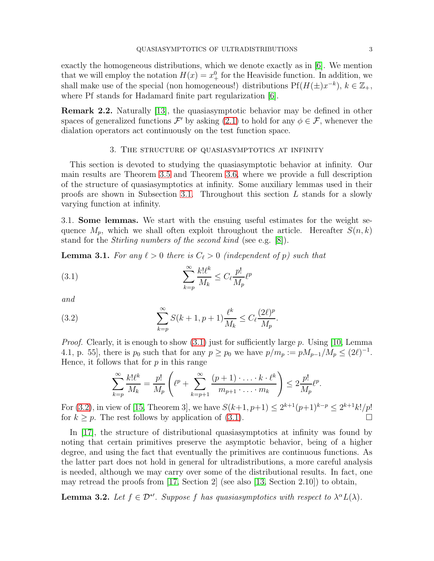exactly the homogeneous distributions, which we denote exactly as in [\[6\]](#page-15-0). We mention that we will employ the notation  $H(x) = x_+^0$  for the Heaviside function. In addition, we shall make use of the special (non homogeneous!) distributions  $Pf(H(\pm)x^{-k}), k \in \mathbb{Z}_+,$ where Pf stands for Hadamard finite part regularization [\[6\]](#page-15-0).

Remark 2.2. Naturally [\[13\]](#page-16-1), the quasiasymptotic behavior may be defined in other spaces of generalized functions  $\mathcal{F}'$  by asking [\(2.1\)](#page-1-1) to hold for any  $\phi \in \mathcal{F}$ , whenever the dialation operators act continuously on the test function space.

# 3. The structure of quasiasymptotics at infinity

<span id="page-2-0"></span>This section is devoted to studying the quasiasymptotic behavior at infinity. Our main results are Theorem [3.5](#page-4-0) and Theorem [3.6,](#page-6-0) where we provide a full description of the structure of quasiasymptotics at infinity. Some auxiliary lemmas used in their proofs are shown in Subsection [3.1.](#page-2-1) Throughout this section L stands for a slowly varying function at infinity.

<span id="page-2-1"></span>3.1. Some lemmas. We start with the ensuing useful estimates for the weight sequence  $M_p$ , which we shall often exploit throughout the article. Hereafter  $S(n, k)$ stand for the Stirling numbers of the second kind (see e.g. [\[8\]](#page-16-11)).

<span id="page-2-5"></span>**Lemma 3.1.** For any  $\ell > 0$  there is  $C_{\ell} > 0$  (independent of p) such that

<span id="page-2-2"></span>(3.1) 
$$
\sum_{k=p}^{\infty} \frac{k! \ell^k}{M_k} \leq C_{\ell} \frac{p!}{M_p} \ell^p
$$

and

(3.2) 
$$
\sum_{k=p}^{\infty} S(k+1, p+1) \frac{\ell^k}{M_k} \le C_{\ell} \frac{(2\ell)^p}{M_p}.
$$

*Proof.* Clearly, it is enough to show  $(3.1)$  just for sufficiently large p. Using [\[10,](#page-16-10) Lemma 4.1, p. 55], there is  $p_0$  such that for any  $p \ge p_0$  we have  $p/m_p := pM_{p-1}/M_p \le (2\ell)^{-1}$ . Hence, it follows that for  $p$  in this range

<span id="page-2-3"></span>
$$
\sum_{k=p}^{\infty} \frac{k! \ell^k}{M_k} = \frac{p!}{M_p} \left( \ell^p + \sum_{k=p+1}^{\infty} \frac{(p+1)\cdot \ldots \cdot k \cdot \ell^k}{m_{p+1} \cdot \ldots \cdot m_k} \right) \leq 2 \frac{p!}{M_p} \ell^p.
$$

For [\(3.2\)](#page-2-3), in view of [\[15,](#page-16-12) Theorem 3], we have  $S(k+1, p+1) \leq 2^{k+1}(p+1)^{k-p} \leq 2^{k+1}k!/p!$ for  $k \geq p$ . The rest follows by application of [\(3.1\)](#page-2-2).

In [\[17\]](#page-16-6), the structure of distributional quasiasymptotics at infinity was found by noting that certain primitives preserve the asymptotic behavior, being of a higher degree, and using the fact that eventually the primitives are continuous functions. As the latter part does not hold in general for ultradistributions, a more careful analysis is needed, although we may carry over some of the distributional results. In fact, one may retread the proofs from [\[17,](#page-16-6) Section 2] (see also [\[13,](#page-16-1) Section 2.10]) to obtain,

<span id="page-2-4"></span>**Lemma 3.2.** Let  $f \in \mathcal{D}^{*'}$ . Suppose f has quasiasymptotics with respect to  $\lambda^{\alpha} L(\lambda)$ .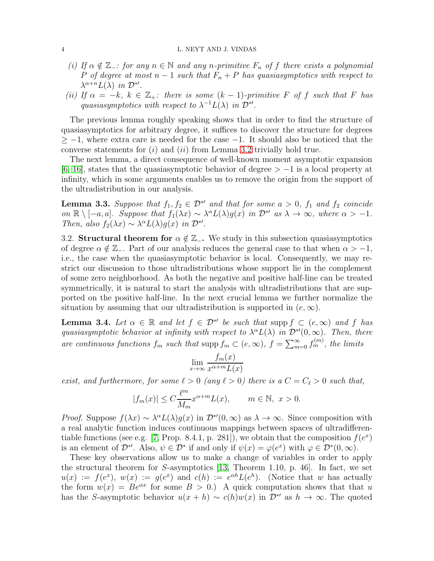### 4 L. NEYT AND J. VINDAS

- (i) If  $\alpha \notin \mathbb{Z}_-$ : for any  $n \in \mathbb{N}$  and any n-primitive  $F_n$  of f there exists a polynomial P of degree at most  $n-1$  such that  $F_n + P$  has quasiasymptotics with respect to  $\lambda^{\alpha+n}L(\lambda)$  in  $\mathcal{D}^*$ .
- (ii) If  $\alpha = -k, k \in \mathbb{Z}_+$ : there is some  $(k-1)$ -primitive F of f such that F has quasiasymptotics with respect to  $\lambda^{-1}L(\lambda)$  in  $\mathcal{D}^{*'}$ .

The previous lemma roughly speaking shows that in order to find the structure of quasiasymptotics for arbitrary degree, it suffices to discover the structure for degrees  $\geq -1$ , where extra care is needed for the case  $-1$ . It should also be noticed that the converse statements for  $(i)$  and  $(ii)$  from Lemma [3.2](#page-2-4) trivially hold true.

The next lemma, a direct consequence of well-known moment asymptotic expansion [\[6,](#page-15-0) [16\]](#page-16-13), states that the quasiasymptotic behavior of degree  $> -1$  is a local property at infinity, which in some arguments enables us to remove the origin from the support of the ultradistribution in our analysis.

<span id="page-3-0"></span>**Lemma 3.3.** Suppose that  $f_1, f_2 \in \mathcal{D}^*{}'$  and that for some  $a > 0$ ,  $f_1$  and  $f_2$  coincide on  $\mathbb{R} \setminus [-a, a]$ . Suppose that  $f_1(\lambda x) \sim \lambda^{\alpha} L(\lambda) g(x)$  in  $\mathcal{D}^{*'}$  as  $\lambda \to \infty$ , where  $\alpha > -1$ . Then, also  $f_2(\lambda x) \sim \lambda^{\alpha} L(\lambda) g(x)$  in  $\mathcal{D}^{*'}$ .

3.2. Structural theorem for  $\alpha \notin \mathbb{Z}_-$ . We study in this subsection quasiasymptotics of degree  $\alpha \notin \mathbb{Z}_-$ . Part of our analysis reduces the general case to that when  $\alpha > -1$ , i.e., the case when the quasiasymptotic behavior is local. Consequently, we may restrict our discussion to those ultradistributions whose support lie in the complement of some zero neighborhood. As both the negative and positive half-line can be treated symmetrically, it is natural to start the analysis with ultradistributions that are supported on the positive half-line. In the next crucial lemma we further normalize the situation by assuming that our ultradistribution is supported in  $(e, \infty)$ .

<span id="page-3-1"></span>**Lemma 3.4.** Let  $\alpha \in \mathbb{R}$  and let  $f \in \mathcal{D}^*$  be such that supp  $f \subset (e, \infty)$  and f has quasiasymptotic behavior at infinity with respect to  $\lambda^{\alpha} L(\lambda)$  in  $\mathcal{D}^{*'}(0,\infty)$ . Then, there are continuous functions  $f_m$  such that supp  $f_m \subset (e,\infty)$ ,  $f = \sum_{m=0}^{\infty} f_m^{(m)}$ , the limits

$$
\lim_{x \to \infty} \frac{f_m(x)}{x^{\alpha+m} L(x)}
$$

exist, and furthermore, for some  $\ell > 0$  (any  $\ell > 0$ ) there is a  $C = C_{\ell} > 0$  such that,

$$
|f_m(x)| \le C \frac{\ell^m}{M_m} x^{\alpha+m} L(x), \qquad m \in \mathbb{N}, \ x > 0.
$$

*Proof.* Suppose  $f(\lambda x) \sim \lambda^{\alpha} L(\lambda) g(x)$  in  $\mathcal{D}^{*\prime}(0, \infty)$  as  $\lambda \to \infty$ . Since composition with a real analytic function induces continuous mappings between spaces of ultradifferen-tiable functions (see e.g. [\[7,](#page-15-3) Prop. 8.4.1, p. 281]), we obtain that the composition  $f(e^x)$ is an element of  $\mathcal{D}^{*'}$ . Also,  $\psi \in \mathcal{D}^*$  if and only if  $\psi(x) = \varphi(e^x)$  with  $\varphi \in \mathcal{D}^*(0, \infty)$ .

These key observations allow us to make a change of variables in order to apply the structural theorem for S-asymptotics [\[13,](#page-16-1) Theorem 1.10, p. 46]. In fact, we set  $u(x) := f(e^x), w(x) := g(e^x)$  and  $c(h) := e^{\alpha h} L(e^h)$ . (Notice that w has actually the form  $w(x) = Be^{\alpha x}$  for some  $B > 0$ .) A quick computation shows that that u has the S-asymptotic behavior  $u(x + h) \sim c(h)w(x)$  in  $\mathcal{D}^{*'}$  as  $h \to \infty$ . The quoted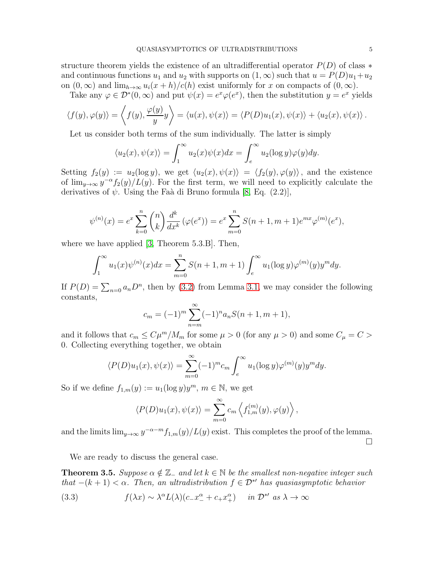structure theorem yields the existence of an ultradifferential operator  $P(D)$  of class  $*$ and continuous functions  $u_1$  and  $u_2$  with supports on  $(1, \infty)$  such that  $u = P(D)u_1 + u_2$ on  $(0, \infty)$  and  $\lim_{h\to\infty} u_i(x+h)/c(h)$  exist uniformly for x on compacts of  $(0, \infty)$ .

Take any  $\varphi \in \mathcal{D}^*(0,\infty)$  and put  $\psi(x) = e^x \varphi(e^x)$ , then the substitution  $y = e^x$  yields

$$
\langle f(y), \varphi(y) \rangle = \left\langle f(y), \frac{\varphi(y)}{y} y \right\rangle = \langle u(x), \psi(x) \rangle = \langle P(D)u_1(x), \psi(x) \rangle + \langle u_2(x), \psi(x) \rangle.
$$

Let us consider both terms of the sum individually. The latter is simply

$$
\langle u_2(x), \psi(x) \rangle = \int_1^\infty u_2(x) \psi(x) dx = \int_e^\infty u_2(\log y) \varphi(y) dy.
$$

Setting  $f_2(y) := u_2(\log y)$ , we get  $\langle u_2(x), \psi(x) \rangle = \langle f_2(y), \varphi(y) \rangle$ , and the existence of  $\lim_{y\to\infty} y^{-\alpha} f_2(y)/L(y)$ . For the first term, we will need to explicitly calculate the derivatives of  $\psi$ . Using the Faà di Bruno formula [\[8,](#page-16-11) Eq. (2.2)],

$$
\psi^{(n)}(x) = e^x \sum_{k=0}^n {n \choose k} \frac{d^k}{dx^k} (\varphi(e^x)) = e^x \sum_{m=0}^n S(n+1, m+1) e^{mx} \varphi^{(m)}(e^x),
$$

where we have applied [\[3,](#page-15-4) Theorem 5.3.B]. Then,

$$
\int_{1}^{\infty} u_1(x)\psi^{(n)}(x)dx = \sum_{m=0}^{n} S(n+1, m+1) \int_{e}^{\infty} u_1(\log y)\varphi^{(m)}(y)y^{m}dy.
$$

If  $P(D) = \sum_{n=0} a_n D^n$ , then by [\(3.2\)](#page-2-3) from Lemma [3.1,](#page-2-5) we may consider the following constants,

$$
c_m = (-1)^m \sum_{n=m}^{\infty} (-1)^n a_n S(n+1, m+1),
$$

and it follows that  $c_m \leq C\mu^m/M_m$  for some  $\mu > 0$  (for any  $\mu > 0$ ) and some  $C_{\mu} = C >$ 0. Collecting everything together, we obtain

$$
\langle P(D)u_1(x), \psi(x) \rangle = \sum_{m=0}^{\infty} (-1)^m c_m \int_e^{\infty} u_1(\log y) \varphi^{(m)}(y) y^m dy.
$$

So if we define  $f_{1,m}(y) := u_1(\log y)y^m$ ,  $m \in \mathbb{N}$ , we get

$$
\langle P(D)u_1(x), \psi(x) \rangle = \sum_{m=0}^{\infty} c_m \left\langle f_{1,m}^{(m)}(y), \varphi(y) \right\rangle,
$$

and the limits  $\lim_{y\to\infty} y^{-\alpha-m} f_{1,m}(y)/L(y)$  exist. This completes the proof of the lemma.  $\Box$ 

We are ready to discuss the general case.

<span id="page-4-0"></span>**Theorem 3.5.** Suppose  $\alpha \notin \mathbb{Z}_-$  and let  $k \in \mathbb{N}$  be the smallest non-negative integer such that  $-(k+1) < \alpha$ . Then, an ultradistribution  $f \in \mathcal{D}^{*'}$  has quasiasymptotic behavior

<span id="page-4-1"></span>(3.3) 
$$
f(\lambda x) \sim \lambda^{\alpha} L(\lambda) (c_- x_-^{\alpha} + c_+ x_+^{\alpha}) \quad in \mathcal{D}^{*'} \text{ as } \lambda \to \infty
$$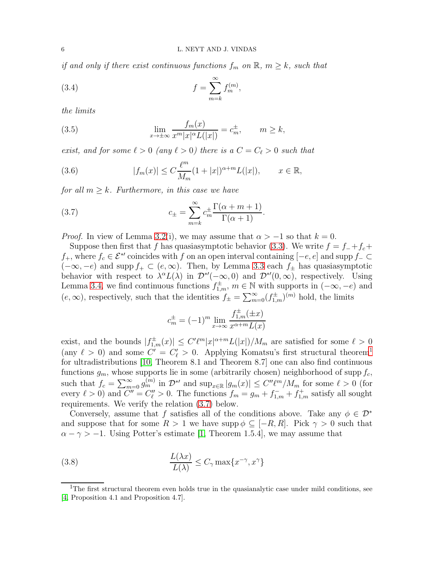if and only if there exist continuous functions  $f_m$  on  $\mathbb{R}, m \geq k$ , such that

<span id="page-5-3"></span>(3.4) 
$$
f = \sum_{m=k}^{\infty} f_m^{(m)},
$$

the limits

<span id="page-5-4"></span>(3.5) 
$$
\lim_{x \to \pm \infty} \frac{f_m(x)}{x^m |x|^{\alpha} L(|x|)} = c_m^{\pm}, \qquad m \ge k,
$$

exist, and for some  $\ell > 0$  (any  $\ell > 0$ ) there is a  $C = C_{\ell} > 0$  such that

<span id="page-5-2"></span>(3.6) 
$$
|f_m(x)| \le C \frac{\ell^m}{M_m} (1+|x|)^{\alpha+m} L(|x|), \qquad x \in \mathbb{R},
$$

for all  $m \geq k$ . Furthermore, in this case we have

(3.7) 
$$
c_{\pm} = \sum_{m=k}^{\infty} c_m^{\pm} \frac{\Gamma(\alpha + m + 1)}{\Gamma(\alpha + 1)}.
$$

*Proof.* In view of Lemma [3.2\(](#page-2-4)i), we may assume that  $\alpha > -1$  so that  $k = 0$ .

Suppose then first that f has quasiasymptotic behavior [\(3.3\)](#page-4-1). We write  $f = f_{-} + f_{c} + f_{c}$ f<sub>+</sub>, where  $f_c \in \mathcal{E}^*$  coincides with f on an open interval containing  $[-e, e]$  and supp  $f_-\subset$  $(-\infty, -e)$  and supp  $f_+ \subset (e, \infty)$ . Then, by Lemma [3.3](#page-3-0) each  $f_{\pm}$  has quasiasymptotic behavior with respect to  $\lambda^{\alpha} L(\lambda)$  in  $\mathcal{D}^{*'}(-\infty,0)$  and  $\mathcal{D}^{*'}(0,\infty)$ , respectively. Using Lemma [3.4,](#page-3-1) we find continuous functions  $f_{1,m}^{\pm}$ ,  $m \in \mathbb{N}$  with supports in  $(-\infty, -e)$  and  $(e, \infty)$ , respectively, such that the identities  $f_{\pm} = \sum_{m=0}^{\infty} (f_{1,m}^{\pm})^{(m)}$  hold, the limits

<span id="page-5-1"></span>
$$
c_m^{\pm} = (-1)^m \lim_{x \to \infty} \frac{f_{1,m}^{\pm}(\pm x)}{x^{\alpha+m} L(x)}
$$

exist, and the bounds  $|f_{1,m}^{\pm}(x)| \leq C' \ell^m |x|^{\alpha+m} L(|x|)/M_m$  are satisfied for some  $\ell > 0$ (any  $\ell > 0$ ) and some  $C' = C'_{\ell} > 0$ . Applying Komatsu's first structural theorem<sup>[1](#page-5-0)</sup> for ultradistributions [\[10,](#page-16-10) Theorem 8.1 and Theorem 8.7] one can also find continuous functions  $g_m$ , whose supports lie in some (arbitrarily chosen) neighborhood of supp  $f_c$ , such that  $f_c = \sum_{m=0}^{\infty} g_m^{(m)}$  in  $\mathcal{D}^{*'}$  and  $\sup_{x \in \mathbb{R}} |g_m(x)| \le C'' \ell^m / M_m$  for some  $\ell > 0$  (for every  $\ell > 0$  and  $\ddot{C}'' = C''_{\ell} > 0$ . The functions  $f_m = g_m + f_{1,m}^- + f_{1,m}^+$  satisfy all sought requirements. We verify the relation [\(3.7\)](#page-5-1) below.

Conversely, assume that f satisfies all of the conditions above. Take any  $\phi \in \mathcal{D}^*$ and suppose that for some  $R > 1$  we have supp  $\phi \subset [-R, R]$ . Pick  $\gamma > 0$  such that  $\alpha - \gamma > -1$ . Using Potter's estimate [\[1,](#page-15-2) Theorem 1.5.4], we may assume that

<span id="page-5-5"></span>(3.8) 
$$
\frac{L(\lambda x)}{L(\lambda)} \le C_{\gamma} \max\{x^{-\gamma}, x^{\gamma}\}
$$

<span id="page-5-0"></span><sup>&</sup>lt;sup>1</sup>The first structural theorem even holds true in the quasianalytic case under mild conditions, see [\[4,](#page-15-5) Proposition 4.1 and Proposition 4.7].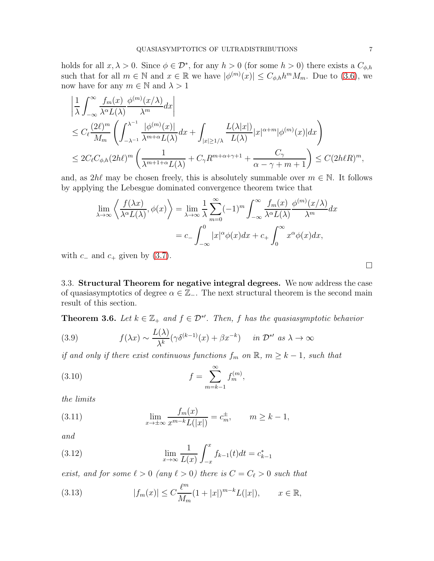holds for all  $x, \lambda > 0$ . Since  $\phi \in \mathcal{D}^*$ , for any  $h > 0$  (for some  $h > 0$ ) there exists a  $C_{\phi, h}$ such that for all  $m \in \mathbb{N}$  and  $x \in \mathbb{R}$  we have  $|\phi^{(m)}(x)| \leq C_{\phi,h} h^m M_m$ . Due to [\(3.6\)](#page-5-2), we now have for any  $m \in \mathbb{N}$  and  $\lambda > 1$ 

$$
\begin{split} &\left|\frac{1}{\lambda}\int_{-\infty}^{\infty}\frac{f_m(x)}{\lambda^{\alpha}L(\lambda)}\frac{\phi^{(m)}(x/\lambda)}{\lambda^m}dx\right|\\ &\leq C_{\ell}\frac{(2\ell)^m}{M_m}\left(\int_{-\lambda^{-1}}^{\lambda^{-1}}\frac{|\phi^{(m)}(x)|}{\lambda^{m+\alpha}L(\lambda)}dx+\int_{|x|\geq 1/\lambda}\frac{L(\lambda|x|)}{L(\lambda)}|x|^{\alpha+m}|\phi^{(m)}(x)|dx\right)\\ &\leq 2C_{\ell}C_{\phi,h}(2h\ell)^m\left(\frac{1}{\lambda^{m+1+\alpha}L(\lambda)}+C_{\gamma}R^{m+\alpha+\gamma+1}+\frac{C_{\gamma}}{\alpha-\gamma+m+1}\right)\leq C(2h\ell R)^m, \end{split}
$$

and, as  $2h\ell$  may be chosen freely, this is absolutely summable over  $m \in \mathbb{N}$ . It follows by applying the Lebesgue dominated convergence theorem twice that

$$
\lim_{\lambda \to \infty} \left\langle \frac{f(\lambda x)}{\lambda^{\alpha} L(\lambda)}, \phi(x) \right\rangle = \lim_{\lambda \to \infty} \frac{1}{\lambda} \sum_{m=0}^{\infty} (-1)^m \int_{-\infty}^{\infty} \frac{f_m(x)}{\lambda^{\alpha} L(\lambda)} \frac{\phi^{(m)}(x/\lambda)}{\lambda^m} dx
$$

$$
= c_- \int_{-\infty}^0 |x|^{\alpha} \phi(x) dx + c_+ \int_0^{\infty} x^{\alpha} \phi(x) dx,
$$

with  $c_-\$  and  $c_+$  given by [\(3.7\)](#page-5-1).

3.3. Structural Theorem for negative integral degrees. We now address the case of quasiasymptotics of degree  $\alpha \in \mathbb{Z}_-$ . The next structural theorem is the second main result of this section.

<span id="page-6-0"></span>**Theorem 3.6.** Let  $k \in \mathbb{Z}_+$  and  $f \in \mathcal{D}^{*'}$ . Then, f has the quasiasymptotic behavior

<span id="page-6-1"></span>(3.9) 
$$
f(\lambda x) \sim \frac{L(\lambda)}{\lambda^k} (\gamma \delta^{(k-1)}(x) + \beta x^{-k}) \quad in \ \mathcal{D}^{*'} \ \text{as} \ \lambda \to \infty
$$

if and only if there exist continuous functions  $f_m$  on  $\mathbb{R}$ ,  $m \geq k - 1$ , such that

<span id="page-6-3"></span>(3.10) 
$$
f = \sum_{m=k-1}^{\infty} f_m^{(m)},
$$

the limits

<span id="page-6-4"></span>(3.11) 
$$
\lim_{x \to \pm \infty} \frac{f_m(x)}{x^{m-k} L(|x|)} = c_m^{\pm}, \qquad m \ge k - 1,
$$

and

<span id="page-6-5"></span>(3.12) 
$$
\lim_{x \to \infty} \frac{1}{L(x)} \int_{-x}^{x} f_{k-1}(t) dt = c_{k-1}^*
$$

exist, and for some  $\ell > 0$  (any  $\ell > 0$ ) there is  $C = C_{\ell} > 0$  such that

<span id="page-6-2"></span>(3.13) 
$$
|f_m(x)| \le C \frac{\ell^m}{M_m} (1+|x|)^{m-k} L(|x|), \qquad x \in \mathbb{R},
$$

 $\Box$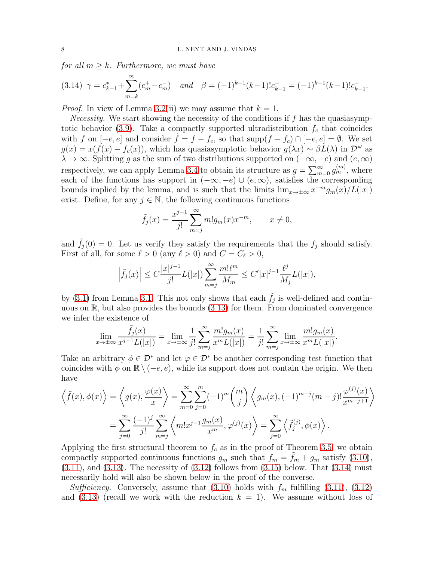for all  $m \geq k$ . Furthermore, we must have

<span id="page-7-0"></span>
$$
(3.14)\ \gamma = c_{k-1}^* + \sum_{m=k}^{\infty} (c_m^+ - c_m^-) \quad and \quad \beta = (-1)^{k-1}(k-1)!c_{k-1}^+ = (-1)^{k-1}(k-1)!c_{k-1}^-.
$$

*Proof.* In view of Lemma [3.2\(](#page-2-4)ii) we may assume that  $k = 1$ .

*Necessity.* We start showing the necessity of the conditions if  $f$  has the quasiasymp-totic behavior [\(3.9\)](#page-6-1). Take a compactly supported ultradistribution  $f_c$  that coincides with f on  $[-e, e]$  and consider  $\tilde{f} = f - f_c$ , so that supp $(f - f_c) \cap [-e, e] = \emptyset$ . We set  $g(x) = x(f(x) - f_c(x))$ , which has quasiasymptotic behavior  $g(\lambda x) \sim \beta L(\lambda)$  in  $\mathcal{D}^{*'}$  as  $\lambda \to \infty$ . Splitting g as the sum of two distributions supported on  $(-\infty, -e)$  and  $(e, \infty)$ respectively, we can apply Lemma [3.4](#page-3-1) to obtain its structure as  $g = \sum_{m=0}^{\infty} g_m^{(m)}$ , where each of the functions has support in  $(-\infty, -e) \cup (e, \infty)$ , satisfies the corresponding bounds implied by the lemma, and is such that the limits  $\lim_{x\to\pm\infty} x^{-m} g_m(x)/L(|x|)$ exist. Define, for any  $j \in \mathbb{N}$ , the following continuous functions

$$
\tilde{f}_j(x) = \frac{x^{j-1}}{j!} \sum_{m=j}^{\infty} m! g_m(x) x^{-m}, \qquad x \neq 0,
$$

and  $\tilde{f}_j(0) = 0$ . Let us verify they satisfy the requirements that the  $f_j$  should satisfy. First of all, for some  $\ell > 0$  (any  $\ell > 0$ ) and  $C = C_{\ell} > 0$ ,

$$
\left|\tilde{f}_j(x)\right| \leq C \frac{|x|^{j-1}}{j!} L(|x|) \sum_{m=j}^{\infty} \frac{m! \ell^m}{M_m} \leq C' |x|^{j-1} \frac{\ell^j}{M_j} L(|x|),
$$

by [\(3.1\)](#page-2-2) from Lemma [3.1.](#page-2-5) This not only shows that each  $\tilde{f}_j$  is well-defined and continuous on  $\mathbb{R}$ , but also provides the bounds  $(3.13)$  for them. From dominated convergence we infer the existence of

$$
\lim_{x \to \pm \infty} \frac{\tilde{f}_j(x)}{x^{j-1}L(|x|)} = \lim_{x \to \pm \infty} \frac{1}{j!} \sum_{m=j}^{\infty} \frac{m!g_m(x)}{x^m L(|x|)} = \frac{1}{j!} \sum_{m=j}^{\infty} \lim_{x \to \pm \infty} \frac{m!g_m(x)}{x^m L(|x|)}.
$$

Take an arbitrary  $\phi \in \mathcal{D}^*$  and let  $\varphi \in \mathcal{D}^*$  be another corresponding test function that coincides with  $\phi$  on  $\mathbb{R} \setminus (-e, e)$ , while its support does not contain the origin. We then have

$$
\left\langle \tilde{f}(x), \phi(x) \right\rangle = \left\langle g(x), \frac{\varphi(x)}{x} \right\rangle = \sum_{m=0}^{\infty} \sum_{j=0}^{m} (-1)^m {m \choose j} \left\langle g_m(x), (-1)^{m-j} (m-j)! \frac{\varphi^{(j)}(x)}{x^{m-j+1}} \right\rangle
$$

$$
= \sum_{j=0}^{\infty} \frac{(-1)^j}{j!} \sum_{m=j}^{\infty} \left\langle m! x^{j-1} \frac{g_m(x)}{x^m}, \varphi^{(j)}(x) \right\rangle = \sum_{j=0}^{\infty} \left\langle \tilde{f}_j^{(j)}, \phi(x) \right\rangle.
$$

Applying the first structural theorem to  $f_c$  as in the proof of Theorem [3.5,](#page-4-0) we obtain compactly supported continuous functions  $g_m$  such that  $f_m = \tilde{f}_m + g_m$  satisfy [\(3.10\)](#page-6-3),  $(3.11)$ , and  $(3.13)$ . The necessity of  $(3.12)$  follows from  $(3.15)$  below. That  $(3.14)$  must necessarily hold will also be shown below in the proof of the converse.

Sufficiency. Conversely, assume that  $(3.10)$  holds with  $f_m$  fulfilling  $(3.11)$ ,  $(3.12)$ and [\(3.13\)](#page-6-2) (recall we work with the reduction  $k = 1$ ). We assume without loss of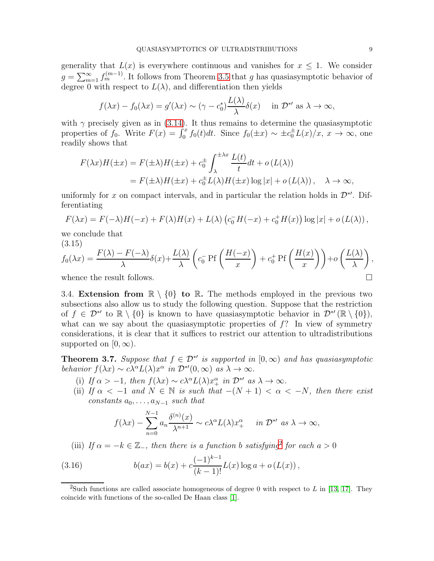generality that  $L(x)$  is everywhere continuous and vanishes for  $x \leq 1$ . We consider  $g = \sum_{m=1}^{\infty} f_m^{(m-1)}$ . It follows from Theorem [3.5](#page-4-0) that g has quasiasymptotic behavior of degree 0 with respect to  $L(\lambda)$ , and differentiation then yields

$$
f(\lambda x) - f_0(\lambda x) = g'(\lambda x) \sim (\gamma - c_0^*) \frac{L(\lambda)}{\lambda} \delta(x)
$$
 in  $\mathcal{D}^{*'} \text{ as } \lambda \to \infty$ ,

with  $\gamma$  precisely given as in [\(3.14\)](#page-7-0). It thus remains to determine the quasiasymptotic properties of  $f_0$ . Write  $F(x) = \int_0^x f_0(t)dt$ . Since  $f_0(\pm x) \sim \pm c_0^{\pm} L(x)/x$ ,  $x \to \infty$ , one readily shows that

$$
F(\lambda x)H(\pm x) = F(\pm \lambda)H(\pm x) + c_0^{\pm} \int_{\lambda}^{\pm \lambda x} \frac{L(t)}{t} dt + o(L(\lambda))
$$
  
=  $F(\pm \lambda)H(\pm x) + c_0^{\pm}L(\lambda)H(\pm x) \log|x| + o(L(\lambda)), \quad \lambda \to \infty,$ 

uniformly for x on compact intervals, and in particular the relation holds in  $\mathcal{D}^{*'}$ . Differentiating

$$
F(\lambda x) = F(-\lambda)H(-x) + F(\lambda)H(x) + L(\lambda)\left(c_0^-H(-x) + c_0^+H(x)\right)\log|x| + o(L(\lambda)),
$$

we conclude that (3.15)

<span id="page-8-0"></span>
$$
f_0(\lambda x) = \frac{F(\lambda) - F(-\lambda)}{\lambda} \delta(x) + \frac{L(\lambda)}{\lambda} \left( c_0^{-} \Pr\left(\frac{H(-x)}{x}\right) + c_0^{+} \Pr\left(\frac{H(x)}{x}\right) \right) + o\left(\frac{L(\lambda)}{\lambda}\right),
$$

<span id="page-8-2"></span>whence the result follows.

3.4. Extension from  $\mathbb{R} \setminus \{0\}$  to  $\mathbb{R}$ . The methods employed in the previous two subsections also allow us to study the following question. Suppose that the restriction of  $f \in \mathcal{D}^{*\prime}$  to  $\mathbb{R} \setminus \{0\}$  is known to have quasiasymptotic behavior in  $\mathcal{D}^{*\prime}(\mathbb{R} \setminus \{0\}),$ what can we say about the quasiasymptotic properties of  $f$ ? In view of symmetry considerations, it is clear that it suffices to restrict our attention to ultradistributions supported on  $[0, \infty)$ .

**Theorem 3.7.** Suppose that  $f \in \mathcal{D}^{*'}$  is supported in  $[0, \infty)$  and has quasiasymptotic behavior  $f(\lambda x) \sim c\lambda^{\alpha} L(\lambda) x^{\alpha}$  in  $\mathcal{D}^{*'}(0,\infty)$  as  $\lambda \to \infty$ .

- (i) If  $\alpha > -1$ , then  $f(\lambda x) \sim c\lambda^{\alpha}L(\lambda)x_+^{\alpha}$  in  $\mathcal{D}^{*\prime}$  as  $\lambda \to \infty$ .
- (ii) If  $\alpha < -1$  and  $N \in \mathbb{N}$  is such that  $-(N + 1) < \alpha < -N$ , then there exist constants  $a_0, \ldots, a_{N-1}$  such that

<span id="page-8-3"></span>
$$
f(\lambda x) - \sum_{n=0}^{N-1} a_n \frac{\delta^{(n)}(x)}{\lambda^{n+1}} \sim c\lambda^{\alpha} L(\lambda) x_+^{\alpha} \quad \text{in } \mathcal{D}^{\ast\prime} \text{ as } \lambda \to \infty,
$$

(iii) If  $\alpha = -k \in \mathbb{Z}_-$ , then there is a function b satisfying<sup>[2](#page-8-1)</sup> for each  $a > 0$ 

(3.16) 
$$
b(ax) = b(x) + c \frac{(-1)^{k-1}}{(k-1)!} L(x) \log a + o(L(x)),
$$

<span id="page-8-1"></span><sup>&</sup>lt;sup>2</sup>Such functions are called associate homogeneous of degree 0 with respect to L in [\[13,](#page-16-1) [17\]](#page-16-6). They coincide with functions of the so-called De Haan class [\[1\]](#page-15-2).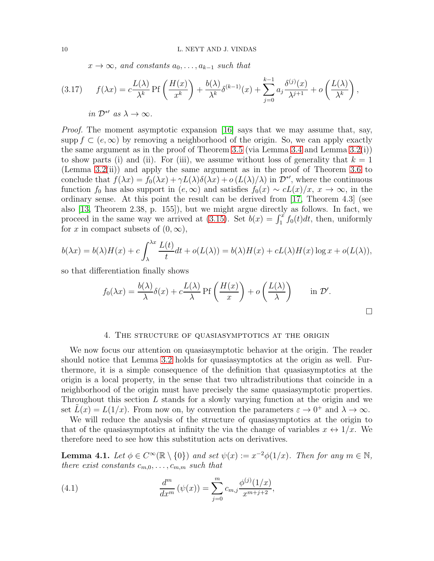$x \to \infty$ , and constants  $a_0, \ldots, a_{k-1}$  such that

$$
(3.17) \qquad f(\lambda x) = c \frac{L(\lambda)}{\lambda^k} \operatorname{Pf}\left(\frac{H(x)}{x^k}\right) + \frac{b(\lambda)}{\lambda^k} \delta^{(k-1)}(x) + \sum_{j=0}^{k-1} a_j \frac{\delta^{(j)}(x)}{\lambda^{j+1}} + o\left(\frac{L(\lambda)}{\lambda^k}\right),
$$
  
in  $\mathcal{D}^{*'} \text{ as } \lambda \to \infty$ .

*Proof.* The moment asymptotic expansion [\[16\]](#page-16-13) says that we may assume that, say, supp  $f \subset (e, \infty)$  by removing a neighborhood of the origin. So, we can apply exactly the same argument as in the proof of Theorem [3.5](#page-4-0) (via Lemma [3.4](#page-3-1) and Lemma [3.2\(](#page-2-4)i)) to show parts (i) and (ii). For (iii), we assume without loss of generality that  $k = 1$ (Lemma  $3.2(ii)$ ) and apply the same argument as in the proof of Theorem [3.6](#page-6-0) to conclude that  $f(\lambda x) = f_0(\lambda x) + \gamma L(\lambda) \delta(\lambda x) + o(L(\lambda)/\lambda)$  in  $\mathcal{D}^{*'}$ , where the continuous function  $f_0$  has also support in  $(e, \infty)$  and satisfies  $f_0(x) \sim cL(x)/x$ ,  $x \to \infty$ , in the ordinary sense. At this point the result can be derived from [\[17,](#page-16-6) Theorem 4.3] (see also [\[13,](#page-16-1) Theorem 2.38, p. 155]), but we might argue directly as follows. In fact, we proceed in the same way we arrived at [\(3.15\)](#page-8-0). Set  $b(x) = \int_1^x f_0(t)dt$ , then, uniformly for x in compact subsets of  $(0, \infty)$ ,

$$
b(\lambda x) = b(\lambda)H(x) + c \int_{\lambda}^{\lambda x} \frac{L(t)}{t} dt + o(L(\lambda)) = b(\lambda)H(x) + cL(\lambda)H(x) \log x + o(L(\lambda)),
$$

so that differentiation finally shows

$$
f_0(\lambda x) = \frac{b(\lambda)}{\lambda} \delta(x) + c \frac{L(\lambda)}{\lambda} \operatorname{Pf}\left(\frac{H(x)}{x}\right) + o\left(\frac{L(\lambda)}{\lambda}\right) \quad \text{in } \mathcal{D}'.
$$

### 4. The structure of quasiasymptotics at the origin

<span id="page-9-0"></span>We now focus our attention on quasiasymptotic behavior at the origin. The reader should notice that Lemma [3.2](#page-2-4) holds for quasiasymptotics at the origin as well. Furthermore, it is a simple consequence of the definition that quasiasymptotics at the origin is a local property, in the sense that two ultradistributions that coincide in a neighborhood of the origin must have precisely the same quasiasymptotic properties. Throughout this section L stands for a slowly varying function at the origin and we set  $\tilde{L}(x) = L(1/x)$ . From now on, by convention the parameters  $\varepsilon \to 0^+$  and  $\lambda \to \infty$ .

We will reduce the analysis of the structure of quasiasymptotics at the origin to that of the quasiasymptotics at infinity the via the change of variables  $x \leftrightarrow 1/x$ . We therefore need to see how this substitution acts on derivatives.

<span id="page-9-2"></span>**Lemma 4.1.** Let  $\phi \in C^{\infty}(\mathbb{R} \setminus \{0\})$  and set  $\psi(x) := x^{-2}\phi(1/x)$ . Then for any  $m \in \mathbb{N}$ , there exist constants  $c_{m,0}, \ldots, c_{m,m}$  such that

<span id="page-9-1"></span>(4.1) 
$$
\frac{d^m}{dx^m}(\psi(x)) = \sum_{j=0}^m c_{m,j} \frac{\phi^{(j)}(1/x)}{x^{m+j+2}},
$$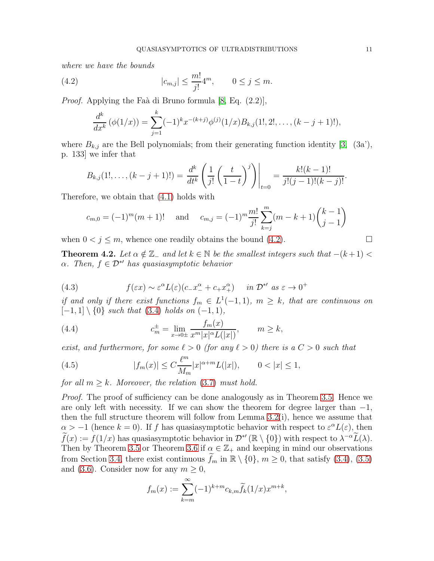where we have the bounds

(4.2) 
$$
|c_{m,j}| \le \frac{m!}{j!} 4^m, \qquad 0 \le j \le m.
$$

*Proof.* Applying the Faà di Bruno formula  $[8, Eq. (2.2)],$ 

<span id="page-10-0"></span>
$$
\frac{d^k}{dx^k}(\phi(1/x)) = \sum_{j=1}^k (-1)^k x^{-(k+j)} \phi^{(j)}(1/x) B_{k,j}(1!, 2!, \dots, (k-j+1)!),
$$

where  $B_{k,j}$  are the Bell polynomials; from their generating function identity [\[3,](#page-15-4) (3a'), p. 133] we infer that

$$
B_{k,j}(1!,\ldots,(k-j+1)!) = \frac{d^k}{dt^k} \left( \frac{1}{j!} \left( \frac{t}{1-t} \right)^j \right) \Bigg|_{t=0} = \frac{k!(k-1)!}{j!(j-1)!(k-j)!}.
$$

Therefore, we obtain that [\(4.1\)](#page-9-1) holds with

$$
c_{m,0} = (-1)^m (m+1)!
$$
 and  $c_{m,j} = (-1)^m \frac{m!}{j!} \sum_{k=j}^m (m-k+1) {k-1 \choose j-1}$ 

when  $0 < j \leq m$ , whence one readily obtains the bound [\(4.2\)](#page-10-0).

<span id="page-10-3"></span>**Theorem 4.2.** Let  $\alpha \notin \mathbb{Z}_-$  and let  $k \in \mathbb{N}$  be the smallest integers such that  $-(k+1)$  $\alpha$ . Then,  $f \in \mathcal{D}^{*\prime}$  has quasiasymptotic behavior

(4.3) 
$$
f(\varepsilon x) \sim \varepsilon^{\alpha} L(\varepsilon) (c_- x_-^{\alpha} + c_+ x_+^{\alpha}) \quad \text{in } \mathcal{D}^{*'} \text{ as } \varepsilon \to 0^+
$$

if and only if there exist functions  $f_m \in L^1(-1,1)$ ,  $m \geq k$ , that are continuous on  $[-1, 1] \setminus \{0\}$  such that  $(3.4)$  holds on  $(-1, 1)$ ,

<span id="page-10-2"></span>(4.4) 
$$
c_m^{\pm} = \lim_{x \to 0^{\pm}} \frac{f_m(x)}{x^m |x|^{\alpha} L(|x|)}, \qquad m \ge k,
$$

exist, and furthermore, for some  $\ell > 0$  (for any  $\ell > 0$ ) there is a  $C > 0$  such that

<span id="page-10-1"></span>(4.5) 
$$
|f_m(x)| \le C \frac{\ell^m}{M_m} |x|^{\alpha+m} L(|x|), \qquad 0 < |x| \le 1,
$$

for all  $m \geq k$ . Moreover, the relation [\(3.7\)](#page-5-1) must hold.

Proof. The proof of sufficiency can be done analogously as in Theorem [3.5.](#page-4-0) Hence we are only left with necessity. If we can show the theorem for degree larger than  $-1$ , then the full structure theorem will follow from Lemma  $3.2(i)$ , hence we assume that  $\alpha > -1$  (hence  $k = 0$ ). If f has quasiasymptotic behavior with respect to  $\varepsilon^{\alpha}L(\varepsilon)$ , then  $\widetilde{f}(x) := f(1/x)$  has quasiasymptotic behavior in  $\mathcal{D}^{*'}(\mathbb{R} \setminus \{0\})$  with respect to  $\lambda^{-\alpha} \widetilde{L}(\lambda)$ . Then by Theorem [3.5](#page-4-0) or Theorem [3.6](#page-6-0) if  $\alpha \in \mathbb{Z}_+$  and keeping in mind our observations from Section [3.4,](#page-8-2) there exist continuous  $f_m$  in  $\mathbb{R} \setminus \{0\}$ ,  $m \geq 0$ , that satisfy [\(3.4\)](#page-5-3), [\(3.5\)](#page-5-4) and [\(3.6\)](#page-5-2). Consider now for any  $m \geq 0$ ,

$$
f_m(x) := \sum_{k=m}^{\infty} (-1)^{k+m} c_{k,m} \widetilde{f}_k(1/x) x^{m+k},
$$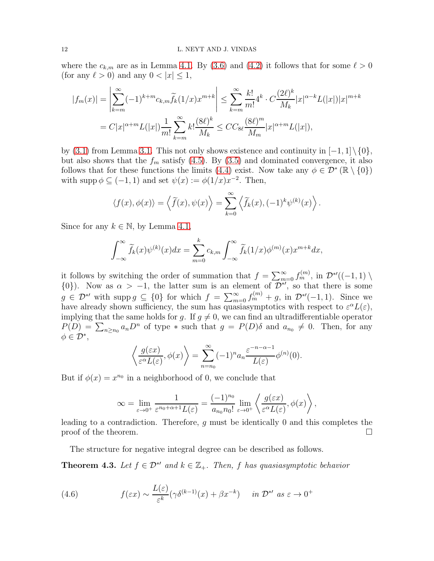where the  $c_{k,m}$  are as in Lemma [4.1.](#page-9-2) By [\(3.6\)](#page-5-2) and [\(4.2\)](#page-10-0) it follows that for some  $\ell > 0$ (for any  $\ell > 0$ ) and any  $0 < |x| \leq 1$ ,

$$
|f_m(x)| = \left| \sum_{k=m}^{\infty} (-1)^{k+m} c_{k,m} \widetilde{f}_k(1/x) x^{m+k} \right| \leq \sum_{k=m}^{\infty} \frac{k!}{m!} 4^k \cdot C \frac{(2\ell)^k}{M_k} |x|^{\alpha-k} L(|x|) |x|^{m+k}
$$
  
=  $C|x|^{\alpha+m} L(|x|) \frac{1}{m!} \sum_{k=m}^{\infty} k! \frac{(8\ell)^k}{M_k} \leq C C_{8\ell} \frac{(8\ell)^m}{M_m} |x|^{\alpha+m} L(|x|),$ 

by [\(3.1\)](#page-2-2) from Lemma [3.1.](#page-2-5) This not only shows existence and continuity in  $[-1,1]\setminus\{0\}$ , but also shows that the  $f_m$  satisfy [\(4.5\)](#page-10-1). By [\(3.5\)](#page-5-4) and dominated convergence, it also follows that for these functions the limits [\(4.4\)](#page-10-2) exist. Now take any  $\phi \in \mathcal{D}^* (\mathbb{R} \setminus \{0\})$ with supp  $\phi \subseteq (-1,1)$  and set  $\psi(x) := \phi(1/x)x^{-2}$ . Then,

$$
\langle f(x), \phi(x) \rangle = \langle \widetilde{f}(x), \psi(x) \rangle = \sum_{k=0}^{\infty} \langle \widetilde{f}_k(x), (-1)^k \psi^{(k)}(x) \rangle.
$$

Since for any  $k \in \mathbb{N}$ , by Lemma [4.1,](#page-9-2)

$$
\int_{-\infty}^{\infty} \widetilde{f}_k(x) \psi^{(k)}(x) dx = \sum_{m=0}^{k} c_{k,m} \int_{-\infty}^{\infty} \widetilde{f}_k(1/x) \phi^{(m)}(x) x^{m+k} dx,
$$

it follows by switching the order of summation that  $f = \sum_{m=0}^{\infty} f_m^{(m)}$ , in  $\mathcal{D}^{*\prime}((-1,1) \setminus \mathcal{D}^{*\prime})$ {0}). Now as  $\alpha > -1$ , the latter sum is an element of  $\overline{\mathcal{D}^{*\prime}}$ , so that there is some  $g \in \mathcal{D}^{*\prime}$  with supp  $g \subseteq \{0\}$  for which  $f = \sum_{m=0}^{\infty} f_m^{(m)} + g$ , in  $\mathcal{D}^{*\prime}(-1, 1)$ . Since we have already shown sufficiency, the sum has quasiasymptotics with respect to  $\varepsilon^{\alpha}L(\varepsilon)$ , implying that the same holds for q. If  $q \neq 0$ , we can find an ultradifferentiable operator  $P(D) = \sum_{n \ge n_0} a_n D^n$  of type  $*$  such that  $g = P(D)\delta$  and  $a_{n_0} \ne 0$ . Then, for any  $\phi \in \mathcal{D}^*,$ 

$$
\left\langle \frac{g(\varepsilon x)}{\varepsilon^{\alpha} L(\varepsilon)}, \phi(x) \right\rangle = \sum_{n=n_0}^{\infty} (-1)^n a_n \frac{\varepsilon^{-n-\alpha-1}}{L(\varepsilon)} \phi^{(n)}(0).
$$

But if  $\phi(x) = x^{n_0}$  in a neighborhood of 0, we conclude that

$$
\infty = \lim_{\varepsilon \to 0^+} \frac{1}{\varepsilon^{n_0 + \alpha + 1} L(\varepsilon)} = \frac{(-1)^{n_0}}{a_{n_0} n_0!} \lim_{\varepsilon \to 0^+} \left\langle \frac{g(\varepsilon x)}{\varepsilon^{\alpha} L(\varepsilon)}, \phi(x) \right\rangle,
$$

leading to a contradiction. Therefore, g must be identically 0 and this completes the proof of the theorem.  $\Box$ 

The structure for negative integral degree can be described as follows.

**Theorem 4.3.** Let  $f \in \mathcal{D}^*{}'$  and  $k \in \mathbb{Z}_+$ . Then, f has quasiasymptotic behavior

(4.6) 
$$
f(\varepsilon x) \sim \frac{L(\varepsilon)}{\varepsilon^k} (\gamma \delta^{(k-1)}(x) + \beta x^{-k}) \quad in \ \mathcal{D}^{*'} \ \text{as} \ \varepsilon \to 0^+
$$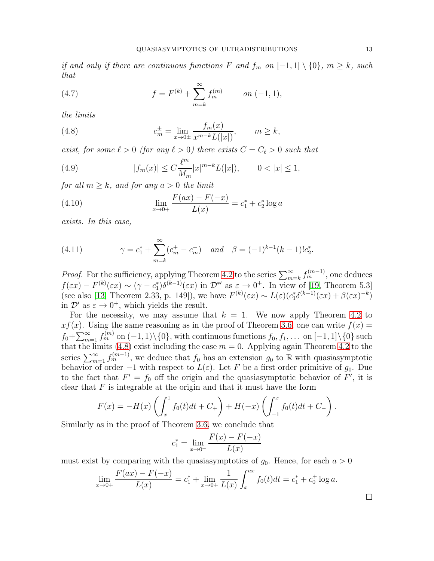if and only if there are continuous functions F and  $f_m$  on  $[-1,1] \setminus \{0\}$ ,  $m \geq k$ , such that

(4.7) 
$$
f = F^{(k)} + \sum_{m=k}^{\infty} f_m^{(m)} \qquad on \ (-1, 1),
$$

the limits

<span id="page-12-0"></span>(4.8) 
$$
c_m^{\pm} = \lim_{x \to 0^{\pm}} \frac{f_m(x)}{x^{m-k} L(|x|)}, \qquad m \ge k,
$$

exist, for some  $\ell > 0$  (for any  $\ell > 0$ ) there exists  $C = C_{\ell} > 0$  such that

(4.9) 
$$
|f_m(x)| \le C \frac{\ell^m}{M_m} |x|^{m-k} L(|x|), \qquad 0 < |x| \le 1,
$$

for all  $m \geq k$ , and for any  $a > 0$  the limit

(4.10) 
$$
\lim_{x \to 0+} \frac{F(ax) - F(-x)}{L(x)} = c_1^* + c_2^* \log a
$$

exists. In this case,

(4.11) 
$$
\gamma = c_1^* + \sum_{m=k}^{\infty} (c_m^+ - c_m^-) \quad \text{and} \quad \beta = (-1)^{k-1} (k-1)! c_2^*.
$$

*Proof.* For the sufficiency, applying Theorem [4.2](#page-10-3) to the series  $\sum_{m=k}^{\infty} f_m^{(m-1)}$ , one deduces  $f(\varepsilon x) - F^{(k)}(\varepsilon x) \sim (\gamma - c_1^*) \delta^{(k-1)}(\varepsilon x)$  in  $\mathcal{D}^{*\prime}$  as  $\varepsilon \to 0^+$ . In view of [\[19,](#page-16-7) Theorem 5.3] (see also [\[13,](#page-16-1) Theorem 2.33, p. 149]), we have  $F^{(k)}(\varepsilon x) \sim L(\varepsilon)(c_1^* \delta^{(k-1)}(\varepsilon x) + \beta(\varepsilon x)^{-k})$ in  $\mathcal{D}'$  as  $\varepsilon \to 0^+$ , which yields the result.

For the necessity, we may assume that  $k = 1$ . We now apply Theorem [4.2](#page-10-3) to  $xf(x)$ . Using the same reasoning as in the proof of Theorem [3.6,](#page-6-0) one can write  $f(x) =$  $f_0+\sum_{m=1}^{\infty}f_m^{(m)}$  on  $(-1,1)\setminus\{0\}$ , with continuous functions  $f_0, f_1, \ldots$  on  $[-1,1]\setminus\{0\}$  such that the limits [\(4.8\)](#page-12-0) exist including the case  $m = 0$ . Applying again Theorem [4.2](#page-10-3) to the series  $\sum_{m=1}^{\infty} f_m^{(m-1)}$ , we deduce that  $f_0$  has an extension  $g_0$  to R with quasiasymptotic behavior of order  $-1$  with respect to  $L(\varepsilon)$ . Let F be a first order primitive of  $g_0$ . Due to the fact that  $F' = f_0$  off the origin and the quasiasymptotic behavior of F', it is clear that  $F$  is integrable at the origin and that it must have the form

$$
F(x) = -H(x) \left( \int_x^1 f_0(t) dt + C_+ \right) + H(-x) \left( \int_{-1}^x f_0(t) dt + C_- \right).
$$

Similarly as in the proof of Theorem [3.6,](#page-6-0) we conclude that

$$
c_1^* = \lim_{x \to 0^+} \frac{F(x) - F(-x)}{L(x)}
$$

must exist by comparing with the quasiasymptotics of  $g_0$ . Hence, for each  $a > 0$ 

$$
\lim_{x \to 0+} \frac{F(ax) - F(-x)}{L(x)} = c_1^* + \lim_{x \to 0+} \frac{1}{L(x)} \int_x^{ax} f_0(t) dt = c_1^* + c_0^+ \log a.
$$

□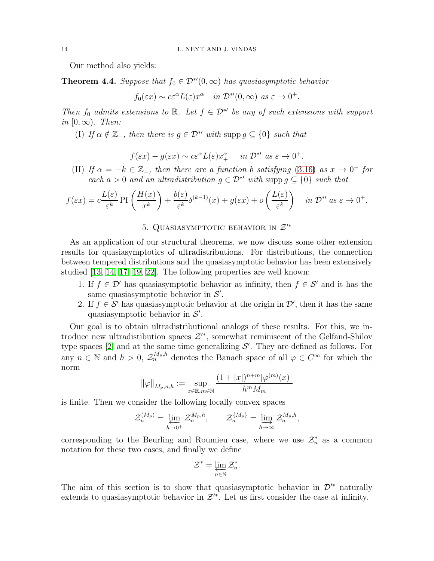Our method also yields:

**Theorem 4.4.** Suppose that  $f_0 \in \mathcal{D}^{*'}(0,\infty)$  has quasiasymptotic behavior

 $f_0(\varepsilon x) \sim c\varepsilon^{\alpha} L(\varepsilon) x^{\alpha}$  in  $\mathcal{D}^{*'}(0,\infty)$  as  $\varepsilon \to 0^+.$ 

Then  $f_0$  admits extensions to R. Let  $f \in \mathcal{D}^{*'}$  be any of such extensions with support in  $[0, \infty)$ . Then:

(I) If  $\alpha \notin \mathbb{Z}_-$ , then there is  $g \in \mathcal{D}^{*\prime}$  with supp  $g \subseteq \{0\}$  such that

$$
f(\varepsilon x) - g(\varepsilon x) \sim c\varepsilon^{\alpha} L(\varepsilon) x_+^{\alpha}
$$
 in  $\mathcal{D}^{*\prime}$  as  $\varepsilon \to 0^+$ .

(II) If  $\alpha = -k \in \mathbb{Z}$ , then there are a function b satisfying [\(3.16\)](#page-8-3) as  $x \to 0^+$  for each  $a > 0$  and an ultradistribution  $g \in \mathcal{D}^*$  with supp  $g \subseteq \{0\}$  such that

$$
f(\varepsilon x) = c \frac{L(\varepsilon)}{\varepsilon^k} \operatorname{Pf}\left(\frac{H(x)}{x^k}\right) + \frac{b(\varepsilon)}{\varepsilon^k} \delta^{(k-1)}(x) + g(\varepsilon x) + o\left(\frac{L(\varepsilon)}{\varepsilon^k}\right) \quad \text{in } \mathcal{D}^{*'} \text{ as } \varepsilon \to 0^+.
$$

# 5. QUASIASYMPTOTIC BEHAVIOR IN  $\mathcal{Z}'^*$

<span id="page-13-0"></span>As an application of our structural theorems, we now discuss some other extension results for quasiasymptotics of ultradistributions. For distributions, the connection between tempered distributions and the quasiasymptotic behavior has been extensively studied [\[13,](#page-16-1) [14,](#page-16-3) [17,](#page-16-6) [19,](#page-16-7) [22\]](#page-16-14). The following properties are well known:

- 1. If  $f \in \mathcal{D}'$  has quasiasymptotic behavior at infinity, then  $f \in \mathcal{S}'$  and it has the same quasiasymptotic behavior in  $\mathcal{S}'$ .
- 2. If  $f \in \mathcal{S}'$  has quasiasymptotic behavior at the origin in  $\mathcal{D}'$ , then it has the same quasiasymptotic behavior in  $\mathcal{S}'$ .

Our goal is to obtain ultradistributional analogs of these results. For this, we introduce new ultradistibution spaces  $\mathcal{Z}'^*$ , somewhat reminiscent of the Gelfand-Shilov type spaces  $[2]$  and at the same time generalizing  $S'$ . They are defined as follows. For any  $n \in \mathbb{N}$  and  $h > 0$ ,  $\mathcal{Z}_n^{M_p,h}$  denotes the Banach space of all  $\varphi \in C^{\infty}$  for which the norm

$$
\|\varphi\|_{M_p, n, h} := \sup_{x \in \mathbb{R}, m \in \mathbb{N}} \frac{(1 + |x|)^{n+m} |\varphi^{(m)}(x)|}{h^m M_m}
$$

is finite. Then we consider the following locally convex spaces

$$
\mathcal{Z}_n^{(M_p)} = \varprojlim_{h \to 0^+}\mathcal{Z}_n^{M_p,h}, \qquad \mathcal{Z}_n^{\{M_p\}} = \varinjlim_{h \to \infty}\mathcal{Z}_n^{M_p,h},
$$

corresponding to the Beurling and Roumieu case, where we use  $\mathcal{Z}_n^*$  as a common notation for these two cases, and finally we define

$$
\mathcal{Z}^*=\varprojlim_{n\in\mathbb{N}}\mathcal{Z}_n^*.
$$

The aim of this section is to show that quasiasymptotic behavior in  $\mathcal{D}^{\prime*}$  naturally extends to quasiasymptotic behavior in  $\mathcal{Z}'^*$ . Let us first consider the case at infinity.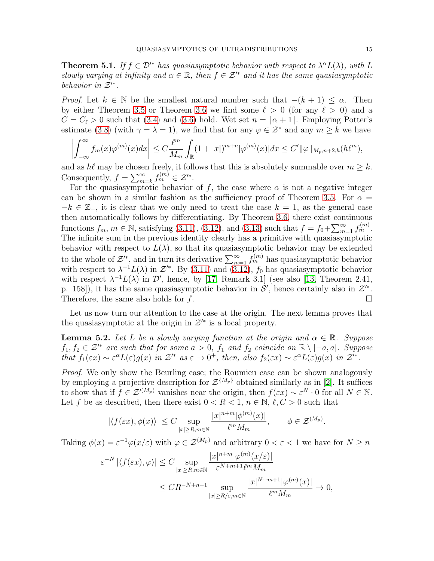**Theorem 5.1.** If  $f \in \mathcal{D}^*$  has quasiasymptotic behavior with respect to  $\lambda^{\alpha} L(\lambda)$ , with L slowly varying at infinity and  $\alpha \in \mathbb{R}$ , then  $f \in \mathcal{Z}^*$  and it has the same quasiasymptotic behavior in  $\mathcal{Z}'^*$ .

*Proof.* Let  $k \in \mathbb{N}$  be the smallest natural number such that  $-(k+1) \leq \alpha$ . Then by either Theorem [3.5](#page-4-0) or Theorem [3.6](#page-6-0) we find some  $\ell > 0$  (for any  $\ell > 0$ ) and a  $C = C_{\ell} > 0$  such that [\(3.4\)](#page-5-3) and [\(3.6\)](#page-5-2) hold. Wet set  $n = [\alpha + 1]$ . Employing Potter's estimate [\(3.8\)](#page-5-5) (with  $\gamma = \lambda = 1$ ), we find that for any  $\varphi \in \mathcal{Z}^*$  and any  $m \geq k$  we have

$$
\left|\int_{-\infty}^{\infty} f_m(x)\varphi^{(m)}(x)dx\right| \leq C\frac{\ell^m}{M_m}\int_{\mathbb{R}}(1+|x|)^{m+n}|\varphi^{(m)}(x)|dx \leq C'\|\varphi\|_{M_p,n+2,h}(h\ell^m),
$$

and as  $h\ell$  may be chosen freely, it follows that this is absolutely summable over  $m \geq k$ . Consequently,  $f = \sum_{m=k}^{\infty} f_m^{(m)} \in \mathcal{Z}'^*$ .

For the quasiasymptotic behavior of f, the case where  $\alpha$  is not a negative integer can be shown in a similar fashion as the sufficiency proof of Theorem [3.5.](#page-4-0) For  $\alpha =$  $-k \in \mathbb{Z}_-$ , it is clear that we only need to treat the case  $k = 1$ , as the general case then automatically follows by differentiating. By Theorem [3.6,](#page-6-0) there exist continuous functions  $f_m$ ,  $m \in \mathbb{N}$ , satisfying [\(3.11\)](#page-6-4), [\(3.12\)](#page-6-5), and [\(3.13\)](#page-6-2) such that  $f = f_0 + \sum_{m=1}^{\infty} f_m^{(m)}$ . The infinite sum in the previous identity clearly has a primitive with quasiasymptotic behavior with respect to  $L(\lambda)$ , so that its quasiasymptotic behavior may be extended to the whole of  $\mathcal{Z}'^*$ , and in turn its derivative  $\sum_{m=1}^{\infty} f_m^{(m)}$  has quasiasymptotic behavior with respect to  $\lambda^{-1}L(\lambda)$  in  $\mathcal{Z}^*$ . By [\(3.11\)](#page-6-4) and [\(3.12\)](#page-6-5),  $f_0$  has quasiasymptotic behavior with respect  $\lambda^{-1}L(\lambda)$  in  $\mathcal{D}'$ , hence, by [\[17,](#page-16-6) Remark 3.1] (see also [\[13,](#page-16-1) Theorem 2.41, p. 158]), it has the same quasiasymptotic behavior in  $\mathcal{S}'$ , hence certainly also in  $\mathcal{Z}'^*$ . Therefore, the same also holds for  $f$ .

Let us now turn our attention to the case at the origin. The next lemma proves that the quasiasymptotic at the origin in  $\mathcal{Z}'^*$  is a local property.

<span id="page-14-0"></span>**Lemma 5.2.** Let L be a slowly varying function at the origin and  $\alpha \in \mathbb{R}$ . Suppose  $f_1, f_2 \in \mathcal{Z}'^*$  are such that for some  $a > 0$ ,  $f_1$  and  $f_2$  coincide on  $\mathbb{R} \setminus [-a, a]$ . Suppose that  $f_1(\varepsilon x) \sim \varepsilon^{\alpha} L(\varepsilon) g(x)$  in  $\mathcal{Z}^{\prime*}$  as  $\varepsilon \to 0^+$ , then, also  $f_2(\varepsilon x) \sim \varepsilon^{\alpha} L(\varepsilon) g(x)$  in  $\mathcal{Z}^{\prime*}$ .

Proof. We only show the Beurling case; the Roumieu case can be shown analogously by employing a projective description for  $\mathcal{Z}^{\{M_p\}}$  obtained similarly as in [\[2\]](#page-15-6). It suffices to show that if  $f \in \mathcal{Z}^{(M_p)}$  vanishes near the origin, then  $f(\varepsilon x) \sim \varepsilon^N \cdot 0$  for all  $N \in \mathbb{N}$ . Let f be as described, then there exist  $0 < R < 1$ ,  $n \in \mathbb{N}$ ,  $\ell, C > 0$  such that

$$
|\langle f(\varepsilon x), \phi(x) \rangle| \le C \sup_{|x| \ge R, m \in \mathbb{N}} \frac{|x|^{n+m} |\phi^{(m)}(x)|}{\ell^m M_m}, \quad \phi \in \mathcal{Z}^{(M_p)}
$$

.

Taking  $\phi(x) = \varepsilon^{-1} \varphi(x/\varepsilon)$  with  $\varphi \in \mathcal{Z}^{(M_p)}$  and arbitrary  $0 < \varepsilon < 1$  we have for  $N \ge n$ 

$$
\varepsilon^{-N} |\langle f(\varepsilon x), \varphi \rangle| \le C \sup_{|x| \ge R, m \in \mathbb{N}} \frac{|x|^{n+m} |\varphi^{(m)}(x/\varepsilon)|}{\varepsilon^{N+m+1} \ell^m M_m}
$$
  

$$
\le C R^{-N+n-1} \sup_{|x| \ge R/\varepsilon, m \in \mathbb{N}} \frac{|x|^{N+m+1} |\varphi^{(m)}(x)|}{\ell^m M_m} \to 0,
$$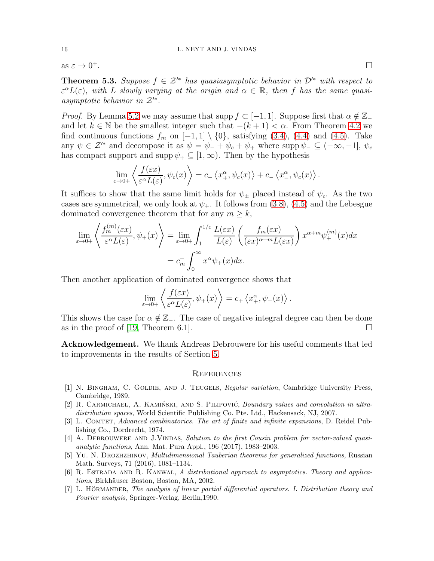as  $\varepsilon \to 0^+$ .

**Theorem 5.3.** Suppose  $f \in \mathcal{Z}^*$  has quasiasymptotic behavior in  $\mathcal{D}^*$  with respect to  $\varepsilon^{\alpha}L(\varepsilon)$ , with L slowly varying at the origin and  $\alpha \in \mathbb{R}$ , then f has the same quasiasymptotic behavior in  $\mathcal{Z}'^*$ .

*Proof.* By Lemma [5.2](#page-14-0) we may assume that supp  $f \subset [-1, 1]$ . Suppose first that  $\alpha \notin \mathbb{Z}_$ and let  $k \in \mathbb{N}$  be the smallest integer such that  $-(k+1) < \alpha$ . From Theorem [4.2](#page-10-3) we find continuous functions  $f_m$  on  $[-1, 1] \setminus \{0\}$ , satisfying [\(3.4\)](#page-5-3), [\(4.4\)](#page-10-2) and [\(4.5\)](#page-10-1). Take any  $\psi \in \mathcal{Z}'^*$  and decompose it as  $\psi = \psi_- + \psi_c + \psi_+$  where supp  $\psi_- \subseteq (-\infty, -1], \psi_c$ has compact support and supp  $\psi_+ \subseteq [1,\infty)$ . Then by the hypothesis

$$
\lim_{\varepsilon \to 0+} \left\langle \frac{f(\varepsilon x)}{\varepsilon^{\alpha} L(\varepsilon)}, \psi_c(x) \right\rangle = c_+ \left\langle x_+^{\alpha}, \psi_c(x) \right\rangle + c_- \left\langle x_-^{\alpha}, \psi_c(x) \right\rangle.
$$

It suffices to show that the same limit holds for  $\psi_{\pm}$  placed instead of  $\psi_c$ . As the two cases are symmetrical, we only look at  $\psi_+$ . It follows from [\(3.8\)](#page-5-5), [\(4.5\)](#page-10-1) and the Lebesgue dominated convergence theorem that for any  $m \geq k$ ,

$$
\lim_{\varepsilon \to 0+} \left\langle \frac{f_m^{(m)}(\varepsilon x)}{\varepsilon^{\alpha} L(\varepsilon)}, \psi_+(x) \right\rangle = \lim_{\varepsilon \to 0+} \int_1^{1/\varepsilon} \frac{L(\varepsilon x)}{L(\varepsilon)} \left( \frac{f_m(\varepsilon x)}{(\varepsilon x)^{\alpha+m} L(\varepsilon x)} \right) x^{\alpha+m} \psi_+^{(m)}(x) dx
$$

$$
= c_m^+ \int_0^\infty x^\alpha \psi_+(x) dx.
$$

Then another application of dominated convergence shows that

$$
\lim_{\varepsilon \to 0+} \left\langle \frac{f(\varepsilon x)}{\varepsilon^{\alpha} L(\varepsilon)}, \psi_+(x) \right\rangle = c_+ \left\langle x_+^{\alpha}, \psi_+(x) \right\rangle.
$$

This shows the case for  $\alpha \notin \mathbb{Z}_-$ . The case of negative integral degree can then be done as in the proof of [\[19,](#page-16-7) Theorem 6.1].

Acknowledgement. We thank Andreas Debrouwere for his useful comments that led to improvements in the results of Section [5.](#page-13-0)

### **REFERENCES**

- <span id="page-15-2"></span>[1] N. BINGHAM, C. GOLDIE, AND J. TEUGELS, Regular variation, Cambridge University Press, Cambridge, 1989.
- <span id="page-15-6"></span>[2] R. CARMICHAEL, A. KAMIŃSKI, AND S. PILIPOVIĆ, Boundary values and convolution in ultradistribution spaces, World Scientific Publishing Co. Pte. Ltd., Hackensack, NJ, 2007.
- <span id="page-15-4"></span>[3] L. COMTET, Advanced combinatorics. The art of finite and infinite expansions, D. Reidel Publishing Co., Dordrecht, 1974.
- <span id="page-15-5"></span>[4] A. DEBROUWERE AND J.VINDAS, Solution to the first Cousin problem for vector-valued quasianalytic functions, Ann. Mat. Pura Appl., 196 (2017), 1983–2003.
- <span id="page-15-1"></span>[5] YU. N. DROZHZHINOV, *Multidimensional Tauberian theorems for generalized functions*, Russian Math. Surveys, 71 (2016), 1081–1134.
- <span id="page-15-0"></span>[6] R. Estrada and R. Kanwal, A distributional approach to asymptotics. Theory and applications, Birkhäuser Boston, Boston, MA, 2002.
- <span id="page-15-3"></span>[7] L. HÖRMANDER, The analysis of linear partial differential operators. I. Distribution theory and Fourier analysis, Springer-Verlag, Berlin,1990.

<sup>+</sup>.